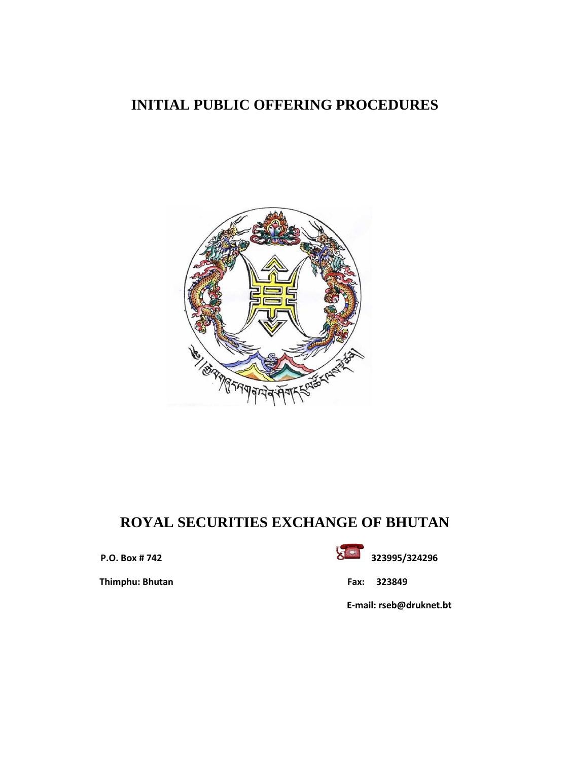# **INITIAL PUBLIC OFFERING PROCEDURES**



# **ROYAL SECURITIES EXCHANGE OF BHUTAN**

 **Thimphu: Bhutan Fax: 323849**



 **E-mail: rseb@druknet.bt**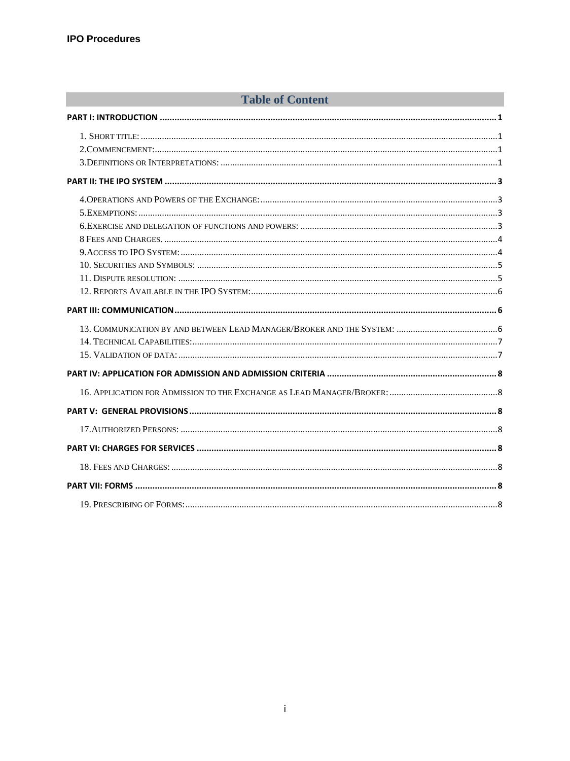# **Example 2018 Table of Content** 2018 and 2018 Table of Content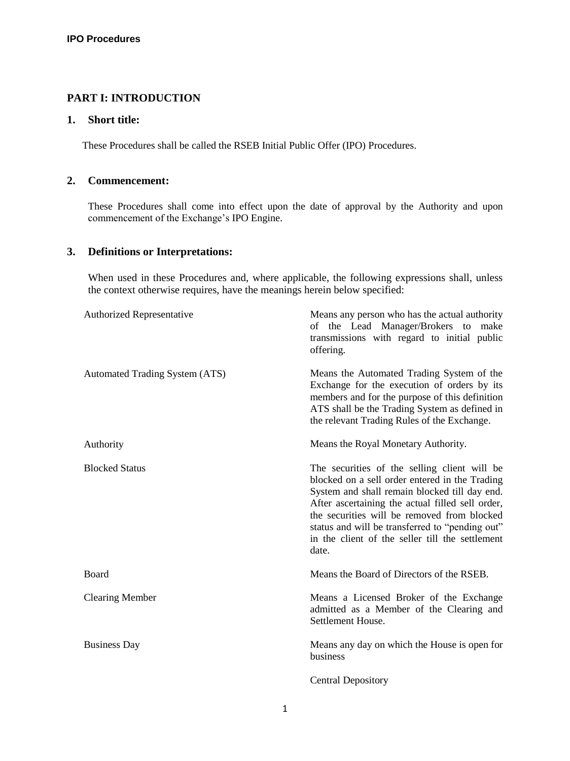# <span id="page-2-0"></span>**PART I: INTRODUCTION**

# <span id="page-2-1"></span>**1. Short title:**

These Procedures shall be called the RSEB Initial Public Offer (IPO) Procedures.

## <span id="page-2-2"></span>**2. Commencement:**

These Procedures shall come into effect upon the date of approval by the Authority and upon commencement of the Exchange's IPO Engine.

## <span id="page-2-3"></span>**3. Definitions or Interpretations:**

When used in these Procedures and, where applicable, the following expressions shall, unless the context otherwise requires, have the meanings herein below specified:

| <b>Authorized Representative</b>      | Means any person who has the actual authority<br>of the Lead Manager/Brokers to<br>make<br>transmissions with regard to initial public<br>offering.                                                                                                                                                                                                               |
|---------------------------------------|-------------------------------------------------------------------------------------------------------------------------------------------------------------------------------------------------------------------------------------------------------------------------------------------------------------------------------------------------------------------|
| <b>Automated Trading System (ATS)</b> | Means the Automated Trading System of the<br>Exchange for the execution of orders by its<br>members and for the purpose of this definition<br>ATS shall be the Trading System as defined in<br>the relevant Trading Rules of the Exchange.                                                                                                                        |
| Authority                             | Means the Royal Monetary Authority.                                                                                                                                                                                                                                                                                                                               |
| <b>Blocked Status</b>                 | The securities of the selling client will be<br>blocked on a sell order entered in the Trading<br>System and shall remain blocked till day end.<br>After ascertaining the actual filled sell order,<br>the securities will be removed from blocked<br>status and will be transferred to "pending out"<br>in the client of the seller till the settlement<br>date. |
| Board                                 | Means the Board of Directors of the RSEB.                                                                                                                                                                                                                                                                                                                         |
| <b>Clearing Member</b>                | Means a Licensed Broker of the Exchange<br>admitted as a Member of the Clearing and<br>Settlement House.                                                                                                                                                                                                                                                          |
| <b>Business Day</b>                   | Means any day on which the House is open for<br>business                                                                                                                                                                                                                                                                                                          |
|                                       | <b>Central Depository</b>                                                                                                                                                                                                                                                                                                                                         |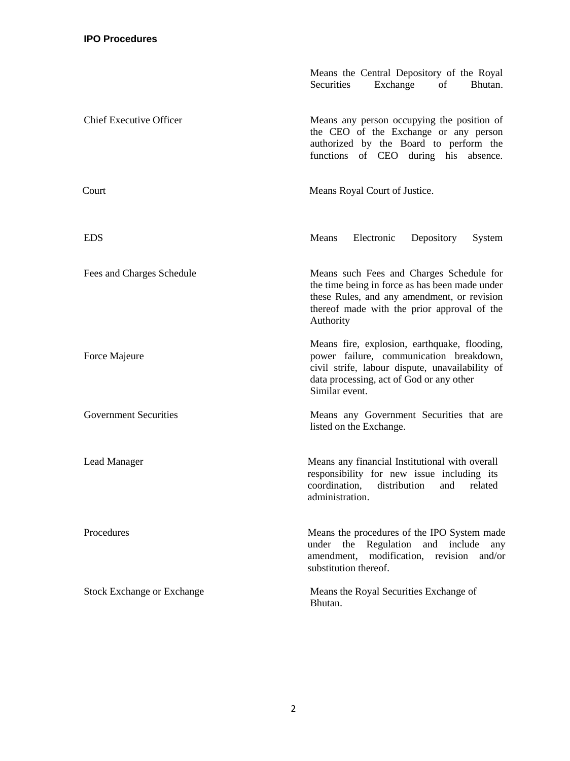|                                   | Means the Central Depository of the Royal<br>Securities<br>Exchange<br>of<br>Bhutan.                                                                                                                     |  |
|-----------------------------------|----------------------------------------------------------------------------------------------------------------------------------------------------------------------------------------------------------|--|
| <b>Chief Executive Officer</b>    | Means any person occupying the position of<br>the CEO of the Exchange or any person<br>authorized by the Board to perform the<br>functions of CEO during his absence.                                    |  |
| Court                             | Means Royal Court of Justice.                                                                                                                                                                            |  |
| <b>EDS</b>                        | Means<br>Electronic<br>Depository<br>System                                                                                                                                                              |  |
| Fees and Charges Schedule         | Means such Fees and Charges Schedule for<br>the time being in force as has been made under<br>these Rules, and any amendment, or revision<br>thereof made with the prior approval of the<br>Authority    |  |
| Force Majeure                     | Means fire, explosion, earthquake, flooding,<br>power failure, communication breakdown,<br>civil strife, labour dispute, unavailability of<br>data processing, act of God or any other<br>Similar event. |  |
| <b>Government Securities</b>      | Means any Government Securities that are<br>listed on the Exchange.                                                                                                                                      |  |
| Lead Manager                      | Means any financial Institutional with overall<br>responsibility for new issue including its<br>coordination, distribution and related<br>administration.                                                |  |
| Procedures                        | Means the procedures of the IPO System made<br>Regulation<br>the<br>under<br>and<br>include<br>any<br>amendment,<br>modification,<br>revision<br>and/or<br>substitution thereof.                         |  |
| <b>Stock Exchange or Exchange</b> | Means the Royal Securities Exchange of<br>Bhutan.                                                                                                                                                        |  |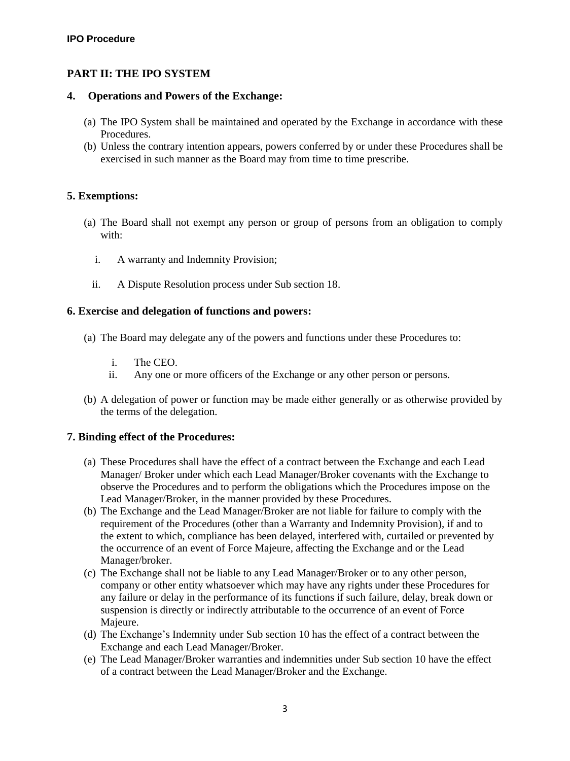# <span id="page-4-0"></span>**PART II: THE IPO SYSTEM**

## <span id="page-4-1"></span>**4. Operations and Powers of the Exchange:**

- (a) The IPO System shall be maintained and operated by the Exchange in accordance with these Procedures.
- (b) Unless the contrary intention appears, powers conferred by or under these Procedures shall be exercised in such manner as the Board may from time to time prescribe.

# <span id="page-4-2"></span>**5. Exemptions:**

- (a) The Board shall not exempt any person or group of persons from an obligation to comply with:
	- i. A warranty and Indemnity Provision;
	- ii. A Dispute Resolution process under Sub section 18.

# <span id="page-4-3"></span>**6. Exercise and delegation of functions and powers:**

- (a) The Board may delegate any of the powers and functions under these Procedures to:
	- i. The CEO.
	- ii. Any one or more officers of the Exchange or any other person or persons.
- (b) A delegation of power or function may be made either generally or as otherwise provided by the terms of the delegation.

# **7. Binding effect of the Procedures:**

- (a) These Procedures shall have the effect of a contract between the Exchange and each Lead Manager/ Broker under which each Lead Manager/Broker covenants with the Exchange to observe the Procedures and to perform the obligations which the Procedures impose on the Lead Manager/Broker, in the manner provided by these Procedures.
- (b) The Exchange and the Lead Manager/Broker are not liable for failure to comply with the requirement of the Procedures (other than a Warranty and Indemnity Provision), if and to the extent to which, compliance has been delayed, interfered with, curtailed or prevented by the occurrence of an event of Force Majeure, affecting the Exchange and or the Lead Manager/broker.
- (c) The Exchange shall not be liable to any Lead Manager/Broker or to any other person, company or other entity whatsoever which may have any rights under these Procedures for any failure or delay in the performance of its functions if such failure, delay, break down or suspension is directly or indirectly attributable to the occurrence of an event of Force Majeure.
- (d) The Exchange's Indemnity under Sub section 10 has the effect of a contract between the Exchange and each Lead Manager/Broker.
- (e) The Lead Manager/Broker warranties and indemnities under Sub section 10 have the effect of a contract between the Lead Manager/Broker and the Exchange.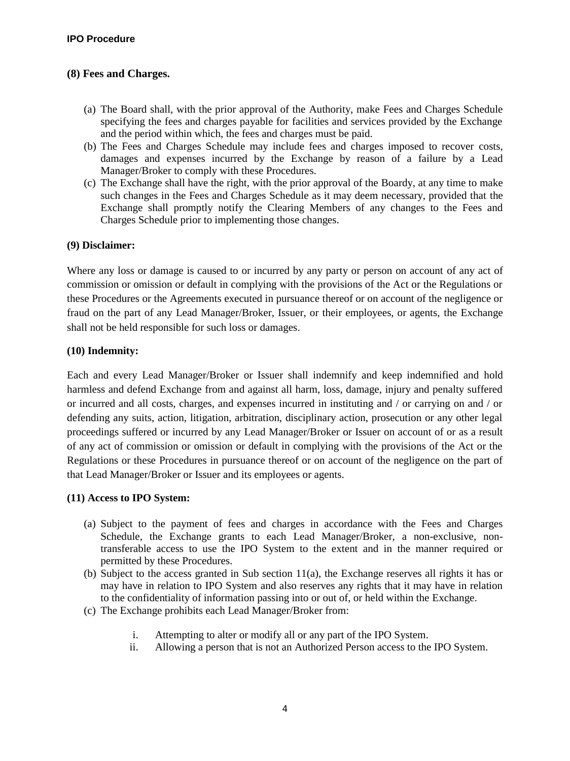# <span id="page-5-0"></span>**(8) Fees and Charges.**

- (a) The Board shall, with the prior approval of the Authority, make Fees and Charges Schedule specifying the fees and charges payable for facilities and services provided by the Exchange and the period within which, the fees and charges must be paid.
- (b) The Fees and Charges Schedule may include fees and charges imposed to recover costs, damages and expenses incurred by the Exchange by reason of a failure by a Lead Manager/Broker to comply with these Procedures.
- (c) The Exchange shall have the right, with the prior approval of the Boardy, at any time to make such changes in the Fees and Charges Schedule as it may deem necessary, provided that the Exchange shall promptly notify the Clearing Members of any changes to the Fees and Charges Schedule prior to implementing those changes.

## **(9) Disclaimer:**

Where any loss or damage is caused to or incurred by any party or person on account of any act of commission or omission or default in complying with the provisions of the Act or the Regulations or these Procedures or the Agreements executed in pursuance thereof or on account of the negligence or fraud on the part of any Lead Manager/Broker, Issuer, or their employees, or agents, the Exchange shall not be held responsible for such loss or damages.

## **(10) Indemnity:**

Each and every Lead Manager/Broker or Issuer shall indemnify and keep indemnified and hold harmless and defend Exchange from and against all harm, loss, damage, injury and penalty suffered or incurred and all costs, charges, and expenses incurred in instituting and / or carrying on and / or defending any suits, action, litigation, arbitration, disciplinary action, prosecution or any other legal proceedings suffered or incurred by any Lead Manager/Broker or Issuer on account of or as a result of any act of commission or omission or default in complying with the provisions of the Act or the Regulations or these Procedures in pursuance thereof or on account of the negligence on the part of that Lead Manager/Broker or Issuer and its employees or agents.

## <span id="page-5-1"></span>**(11) Access to IPO System:**

- (a) Subject to the payment of fees and charges in accordance with the Fees and Charges Schedule, the Exchange grants to each Lead Manager/Broker, a non-exclusive, nontransferable access to use the IPO System to the extent and in the manner required or permitted by these Procedures.
- (b) Subject to the access granted in Sub section 11(a), the Exchange reserves all rights it has or may have in relation to IPO System and also reserves any rights that it may have in relation to the confidentiality of information passing into or out of, or held within the Exchange.
- (c) The Exchange prohibits each Lead Manager/Broker from:
	- i. Attempting to alter or modify all or any part of the IPO System.
	- ii. Allowing a person that is not an Authorized Person access to the IPO System.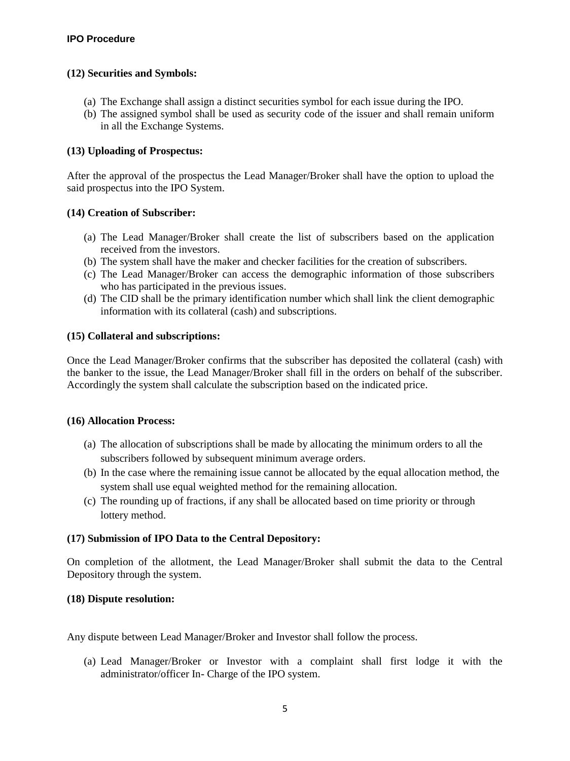# <span id="page-6-0"></span>**(12) Securities and Symbols:**

- (a) The Exchange shall assign a distinct securities symbol for each issue during the IPO.
- (b) The assigned symbol shall be used as security code of the issuer and shall remain uniform in all the Exchange Systems.

## **(13) Uploading of Prospectus:**

After the approval of the prospectus the Lead Manager/Broker shall have the option to upload the said prospectus into the IPO System.

## **(14) Creation of Subscriber:**

- (a) The Lead Manager/Broker shall create the list of subscribers based on the application received from the investors.
- (b) The system shall have the maker and checker facilities for the creation of subscribers.
- (c) The Lead Manager/Broker can access the demographic information of those subscribers who has participated in the previous issues.
- (d) The CID shall be the primary identification number which shall link the client demographic information with its collateral (cash) and subscriptions.

## **(15) Collateral and subscriptions:**

Once the Lead Manager/Broker confirms that the subscriber has deposited the collateral (cash) with the banker to the issue, the Lead Manager/Broker shall fill in the orders on behalf of the subscriber. Accordingly the system shall calculate the subscription based on the indicated price.

#### **(16) Allocation Process:**

- (a) The allocation of subscriptions shall be made by allocating the minimum orders to all the subscribers followed by subsequent minimum average orders.
- (b) In the case where the remaining issue cannot be allocated by the equal allocation method, the system shall use equal weighted method for the remaining allocation.
- (c) The rounding up of fractions, if any shall be allocated based on time priority or through lottery method.

## **(17) Submission of IPO Data to the Central Depository:**

On completion of the allotment, the Lead Manager/Broker shall submit the data to the Central Depository through the system.

## <span id="page-6-1"></span>**(18) Dispute resolution:**

Any dispute between Lead Manager/Broker and Investor shall follow the process.

(a) Lead Manager/Broker or Investor with a complaint shall first lodge it with the administrator/officer In- Charge of the IPO system.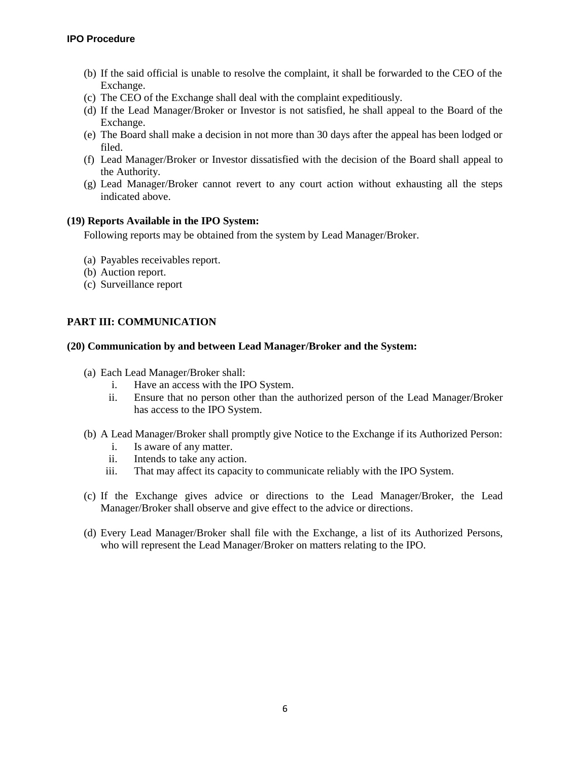## **IPO Procedure**

- (b) If the said official is unable to resolve the complaint, it shall be forwarded to the CEO of the Exchange.
- (c) The CEO of the Exchange shall deal with the complaint expeditiously.
- (d) If the Lead Manager/Broker or Investor is not satisfied, he shall appeal to the Board of the Exchange.
- (e) The Board shall make a decision in not more than 30 days after the appeal has been lodged or filed.
- (f) Lead Manager/Broker or Investor dissatisfied with the decision of the Board shall appeal to the Authority.
- (g) Lead Manager/Broker cannot revert to any court action without exhausting all the steps indicated above.

## <span id="page-7-0"></span>**(19) Reports Available in the IPO System:**

Following reports may be obtained from the system by Lead Manager/Broker.

- (a) Payables receivables report.
- (b) Auction report.
- (c) Surveillance report

# <span id="page-7-1"></span>**PART III: COMMUNICATION**

## <span id="page-7-2"></span>**(20) Communication by and between Lead Manager/Broker and the System:**

- (a) Each Lead Manager/Broker shall:
	- i. Have an access with the IPO System.
	- ii. Ensure that no person other than the authorized person of the Lead Manager/Broker has access to the IPO System.
- (b) A Lead Manager/Broker shall promptly give Notice to the Exchange if its Authorized Person:
	- i. Is aware of any matter.
	- ii. Intends to take any action.
	- iii. That may affect its capacity to communicate reliably with the IPO System.
- (c) If the Exchange gives advice or directions to the Lead Manager/Broker, the Lead Manager/Broker shall observe and give effect to the advice or directions.
- (d) Every Lead Manager/Broker shall file with the Exchange, a list of its Authorized Persons, who will represent the Lead Manager/Broker on matters relating to the IPO.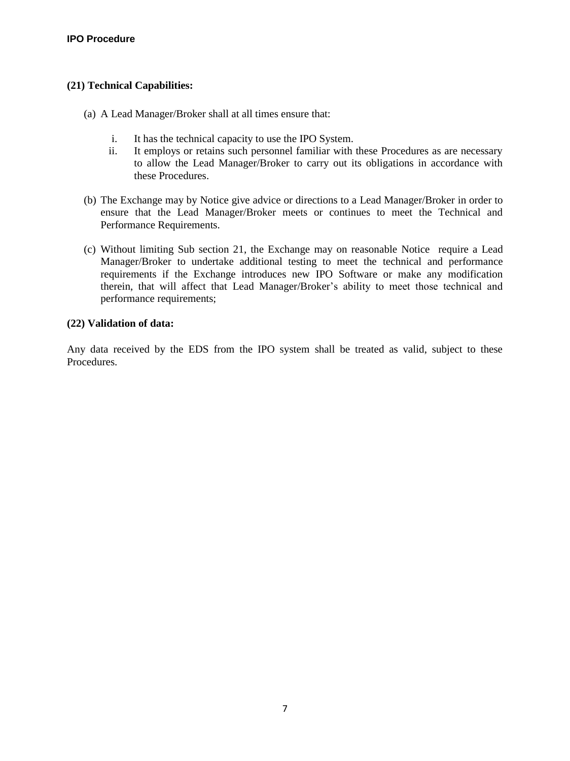# <span id="page-8-0"></span>**(21) Technical Capabilities:**

- (a) A Lead Manager/Broker shall at all times ensure that:
	- i. It has the technical capacity to use the IPO System.
	- ii. It employs or retains such personnel familiar with these Procedures as are necessary to allow the Lead Manager/Broker to carry out its obligations in accordance with these Procedures.
- (b) The Exchange may by Notice give advice or directions to a Lead Manager/Broker in order to ensure that the Lead Manager/Broker meets or continues to meet the Technical and Performance Requirements.
- (c) Without limiting Sub section 21, the Exchange may on reasonable Notice require a Lead Manager/Broker to undertake additional testing to meet the technical and performance requirements if the Exchange introduces new IPO Software or make any modification therein, that will affect that Lead Manager/Broker's ability to meet those technical and performance requirements;

# <span id="page-8-1"></span>**(22) Validation of data:**

Any data received by the EDS from the IPO system shall be treated as valid, subject to these Procedures.